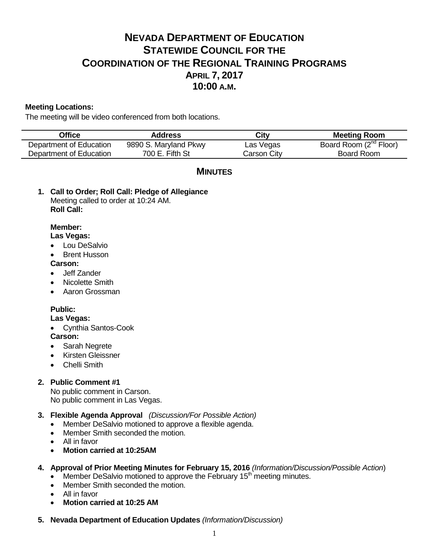# **NEVADA DEPARTMENT OF EDUCATION STATEWIDE COUNCIL FOR THE COORDINATION OF THE REGIONAL TRAINING PROGRAMS APRIL 7, 2017 10:00 A.M.**

### **Meeting Locations:**

The meeting will be video conferenced from both locations.

| Office                  | <b>Address</b>        | City        | <b>Meeting Room</b>                |
|-------------------------|-----------------------|-------------|------------------------------------|
| Department of Education | 9890 S. Maryland Pkwy | Las Vegas   | Board Room (2 <sup>nd</sup> Floor) |
| Department of Education | 700 E. Fifth St       | Carson City | Board Room                         |

## **MINUTES**

**1. Call to Order; Roll Call: Pledge of Allegiance** Meeting called to order at 10:24 AM. **Roll Call:**

### **Member:**

### **Las Vegas:**

- Lou DeSalvio
- Brent Husson

### **Carson:**

- Jeff Zander
- Nicolette Smith
- Aaron Grossman

### **Public:**

### **Las Vegas:**

Cynthia Santos-Cook

### **Carson:**

- Sarah Negrete
- Kirsten Gleissner
- **•** Chelli Smith

### **2. Public Comment #1**

No public comment in Carson. No public comment in Las Vegas.

### **3. Flexible Agenda Approval** *(Discussion/For Possible Action)*

- Member DeSalvio motioned to approve a flexible agenda.
- Member Smith seconded the motion.
- All in favor
- **Motion carried at 10:25AM**

### **4. Approval of Prior Meeting Minutes for February 15, 2016** *(Information/Discussion/Possible Action*)

- $\bullet$  Member DeSalvio motioned to approve the February 15<sup>th</sup> meeting minutes.
- Member Smith seconded the motion.
- All in favor
- **Motion carried at 10:25 AM**
- **5. Nevada Department of Education Updates** *(Information/Discussion)*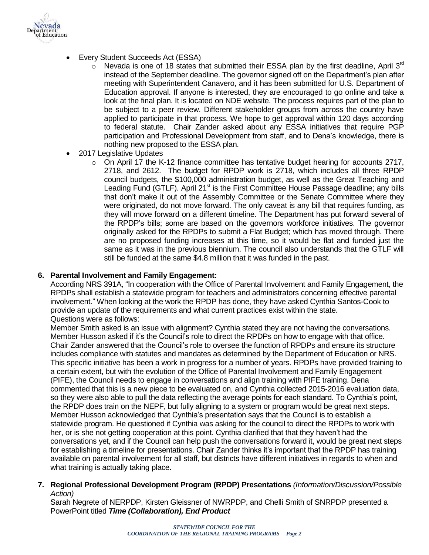

- Every Student Succeeds Act (ESSA)
	- $\circ$  Nevada is one of 18 states that submitted their ESSA plan by the first deadline, April 3<sup>rd</sup> instead of the September deadline. The governor signed off on the Department's plan after meeting with Superintendent Canavero, and it has been submitted for U.S. Department of Education approval. If anyone is interested, they are encouraged to go online and take a look at the final plan. It is located on NDE website. The process requires part of the plan to be subject to a peer review. Different stakeholder groups from across the country have applied to participate in that process. We hope to get approval within 120 days according to federal statute. Chair Zander asked about any ESSA initiatives that require PGP participation and Professional Development from staff, and to Dena's knowledge, there is nothing new proposed to the ESSA plan.
- 2017 Legislative Updates
	- o On April 17 the K-12 finance committee has tentative budget hearing for accounts 2717, 2718, and 2612. The budget for RPDP work is 2718, which includes all three RPDP council budgets, the \$100,000 administration budget, as well as the Great Teaching and Leading Fund (GTLF). April 21<sup>st</sup> is the First Committee House Passage deadline; any bills that don't make it out of the Assembly Committee or the Senate Committee where they were originated, do not move forward. The only caveat is any bill that requires funding, as they will move forward on a different timeline. The Department has put forward several of the RPDP's bills; some are based on the governors workforce initiatives. The governor originally asked for the RPDPs to submit a Flat Budget; which has moved through. There are no proposed funding increases at this time, so it would be flat and funded just the same as it was in the previous biennium. The council also understands that the GTLF will still be funded at the same \$4.8 million that it was funded in the past.

### **6. Parental Involvement and Family Engagement:**

According NRS 391A, "In cooperation with the Office of Parental Involvement and Family Engagement, the RPDPs shall establish a statewide program for teachers and administrators concerning effective parental involvement." When looking at the work the RPDP has done, they have asked Cynthia Santos-Cook to provide an update of the requirements and what current practices exist within the state. Questions were as follows:

Member Smith asked is an issue with alignment? Cynthia stated they are not having the conversations. Member Husson asked if it's the Council's role to direct the RPDPs on how to engage with that office. Chair Zander answered that the Council's role to oversee the function of RPDPs and ensure its structure includes compliance with statutes and mandates as determined by the Department of Education or NRS. This specific initiative has been a work in progress for a number of years. RPDPs have provided training to a certain extent, but with the evolution of the Office of Parental Involvement and Family Engagement (PIFE), the Council needs to engage in conversations and align training with PIFE training. Dena commented that this is a new piece to be evaluated on, and Cynthia collected 2015-2016 evaluation data, so they were also able to pull the data reflecting the average points for each standard. To Cynthia's point, the RPDP does train on the NEPF, but fully aligning to a system or program would be great next steps. Member Husson acknowledged that Cynthia's presentation says that the Council is to establish a statewide program. He questioned if Cynthia was asking for the council to direct the RPDPs to work with her, or is she not getting cooperation at this point. Cynthia clarified that that they haven't had the conversations yet, and if the Council can help push the conversations forward it, would be great next steps for establishing a timeline for presentations. Chair Zander thinks it's important that the RPDP has training available on parental involvement for all staff, but districts have different initiatives in regards to when and what training is actually taking place.

**7. Regional Professional Development Program (RPDP) Presentations** *(Information/Discussion/Possible Action)*

Sarah Negrete of NERPDP, Kirsten Gleissner of NWRPDP, and Chelli Smith of SNRPDP presented a PowerPoint titled *Time (Collaboration), End Product*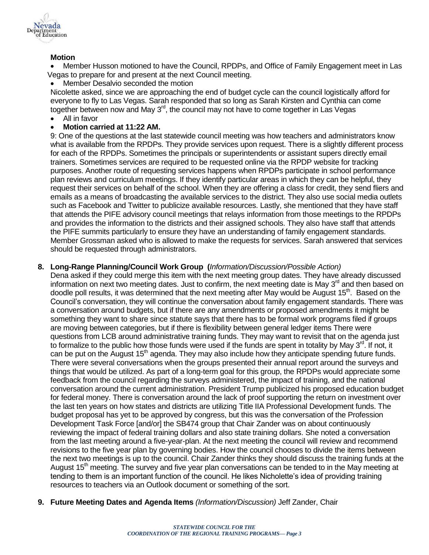

### **Motion**

 Member Husson motioned to have the Council, RPDPs, and Office of Family Engagement meet in Las Vegas to prepare for and present at the next Council meeting.

Member Desalvio seconded the motion

Nicolette asked, since we are approaching the end of budget cycle can the council logistically afford for everyone to fly to Las Vegas. Sarah responded that so long as Sarah Kirsten and Cynthia can come together between now and May 3<sup>rd</sup>, the council may not have to come together in Las Vegas

All in favor

### **Motion carried at 11:22 AM.**

9: One of the questions at the last statewide council meeting was how teachers and administrators know what is available from the RPDPs. They provide services upon request. There is a slightly different process for each of the RPDPs. Sometimes the principals or superintendents or assistant supers directly email trainers. Sometimes services are required to be requested online via the RPDP website for tracking purposes. Another route of requesting services happens when RPDPs participate in school performance plan reviews and curriculum meetings. If they identify particular areas in which they can be helpful, they request their services on behalf of the school. When they are offering a class for credit, they send fliers and emails as a means of broadcasting the available services to the district. They also use social media outlets such as Facebook and Twitter to publicize available resources. Lastly, she mentioned that they have staff that attends the PIFE advisory council meetings that relays information from those meetings to the RPDPs and provides the information to the districts and their assigned schools. They also have staff that attends the PIFE summits particularly to ensure they have an understanding of family engagement standards. Member Grossman asked who is allowed to make the requests for services. Sarah answered that services should be requested through administrators.

### **8. Long-Range Planning/Council Work Group (***Information/Discussion/Possible Action)*

Dena asked if they could merge this item with the next meeting group dates. They have already discussed information on next two meeting dates. Just to confirm, the next meeting date is May 3<sup>rd</sup> and then based on doodle poll results, it was determined that the next meeting after May would be August 15<sup>th</sup>. Based on the Council's conversation, they will continue the conversation about family engagement standards. There was a conversation around budgets, but if there are any amendments or proposed amendments it might be something they want to share since statute says that there has to be formal work programs filed if groups are moving between categories, but if there is flexibility between general ledger items There were questions from LCB around administrative training funds. They may want to revisit that on the agenda just to formalize to the public how those funds were used if the funds are spent in totality by May 3<sup>rd</sup>. If not, it can be put on the August 15<sup>th</sup> agenda. They may also include how they anticipate spending future funds. There were several conversations when the groups presented their annual report around the surveys and things that would be utilized. As part of a long-term goal for this group, the RPDPs would appreciate some feedback from the council regarding the surveys administered, the impact of training, and the national conversation around the current administration. President Trump publicized his proposed education budget for federal money. There is conversation around the lack of proof supporting the return on investment over the last ten years on how states and districts are utilizing Title IIA Professional Development funds. The budget proposal has yet to be approved by congress, but this was the conversation of the Profession Development Task Force [and/or] the SB474 group that Chair Zander was on about continuously reviewing the impact of federal training dollars and also state training dollars. She noted a conversation from the last meeting around a five-year-plan. At the next meeting the council will review and recommend revisions to the five year plan by governing bodies. How the council chooses to divide the items between the next two meetings is up to the council. Chair Zander thinks they should discuss the training funds at the August  $15<sup>th</sup>$  meeting. The survey and five year plan conversations can be tended to in the May meeting at tending to them is an important function of the council. He likes Nicholette's idea of providing training resources to teachers via an Outlook document or something of the sort.

**9. Future Meeting Dates and Agenda Items** *(Information/Discussion)* Jeff Zander, Chair